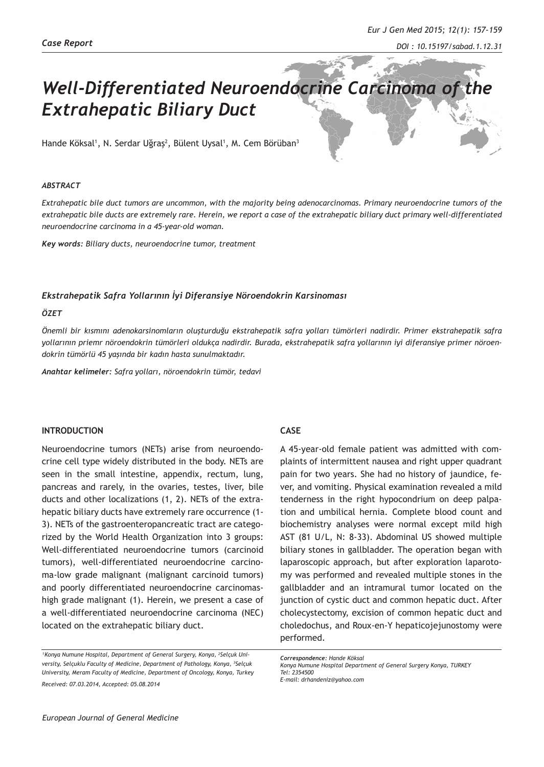# *Well-Differentiated Neuroendocrine Carcinoma of the Extrahepatic Biliary Duct*

Hande Köksal<sup>1</sup>, N. Serdar Uğraş<sup>2</sup>, Bülent Uysal<sup>1</sup>, M. Cem Börüban<sup>3</sup>

#### *ABSTRACT*

*Extrahepatic bile duct tumors are uncommon, with the majority being adenocarcinomas. Primary neuroendocrine tumors of the extrahepatic bile ducts are extremely rare. Herein, we report a case of the extrahepatic biliary duct primary well-differentiated neuroendocrine carcinoma in a 45-year-old woman.* 

*Key words: Biliary ducts, neuroendocrine tumor, treatment*

### *Ekstrahepatik Safra Yollarının İyi Diferansiye Nöroendokrin Karsinoması*

#### *ÖZET*

*Önemli bir kısmını adenokarsinomların oluşturduğu ekstrahepatik safra yolları tümörleri nadirdir. Primer ekstrahepatik safra yollarının priemr nöroendokrin tümörleri oldukça nadirdir. Burada, ekstrahepatik safra yollarının iyi diferansiye primer nöroendokrin tümörlü 45 yaşında bir kadın hasta sunulmaktadır.* 

*Anahtar kelimeler: Safra yolları, nöroendokrin tümör, tedavi*

## **INTRODUCTION**

Neuroendocrine tumors (NETs) arise from neuroendocrine cell type widely distributed in the body. NETs are seen in the small intestine, appendix, rectum, lung, pancreas and rarely, in the ovaries, testes, liver, bile ducts and other localizations (1, 2). NETs of the extrahepatic biliary ducts have extremely rare occurrence (1- 3). NETs of the gastroenteropancreatic tract are categorized by the World Health Organization into 3 groups: Well-differentiated neuroendocrine tumors (carcinoid tumors), well-differentiated neuroendocrine carcinoma-low grade malignant (malignant carcinoid tumors) and poorly differentiated neuroendocrine carcinomashigh grade malignant (1). Herein, we present a case of a well-differentiated neuroendocrine carcinoma (NEC) located on the extrahepatic biliary duct.

## **CASE**

A 45-year-old female patient was admitted with complaints of intermittent nausea and right upper quadrant pain for two years. She had no history of jaundice, fever, and vomiting. Physical examination revealed a mild tenderness in the right hypocondrium on deep palpation and umbilical hernia. Complete blood count and biochemistry analyses were normal except mild high AST (81 U/L, N: 8-33). Abdominal US showed multiple biliary stones in gallbladder. The operation began with laparoscopic approach, but after exploration laparotomy was performed and revealed multiple stones in the gallbladder and an intramural tumor located on the junction of cystic duct and common hepatic duct. After cholecystectomy, excision of common hepatic duct and choledochus, and Roux-en-Y hepaticojejunostomy were performed.

*Correspondence: Hande Köksal Konya Numune Hospital Department of General Surgery Konya, TURKEY Tel: 2354500 E-mail: drhandeniz@yahoo.com*

<sup>&</sup>lt;sup>1</sup> Konya Numune Hospital, Department of General Surgery, Konya, <sup>2</sup>Selçuk Uni*versity, Selçuklu Faculty of Medicine, Department of Pathology, Konya, <sup>3</sup> Selçuk University, Meram Faculty of Medicine, Department of Oncology, Konya, Turkey Received: 07.03.2014, Accepted: 05.08.2014*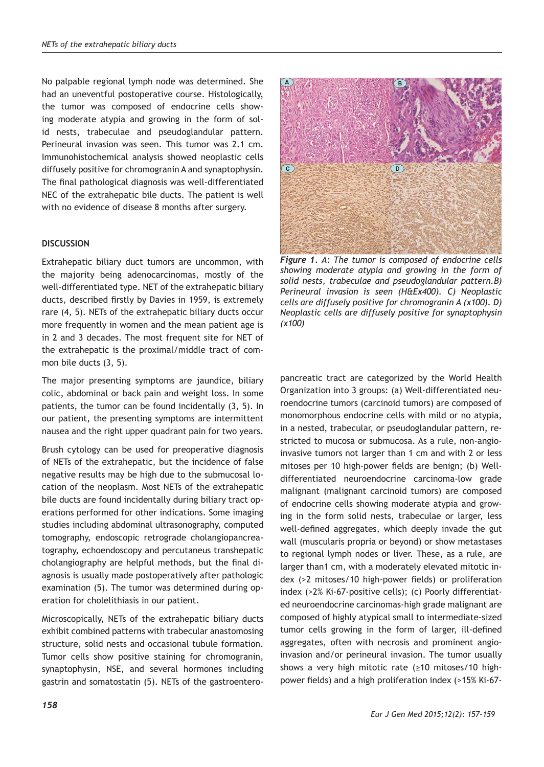No palpable regional lymph node was determined. She had an uneventful postoperative course. Histologically, the tumor was composed of endocrine cells showing moderate atypia and growing in the form of solid nests, trabeculae and pseudoglandular pattern. Perineural invasion was seen. This tumor was 2.1 cm. Immunohistochemical analysis showed neoplastic cells diffusely positive for chromogranin A and synaptophysin. The final pathological diagnosis was well-differentiated NEC of the extrahepatic bile ducts. The patient is well with no evidence of disease 8 months after surgery.

# **DISCUSSION**

Extrahepatic biliary duct tumors are uncommon, with the majority being adenocarcinomas, mostly of the well-differentiated type. NET of the extrahepatic biliary ducts, described firstly by Davies in 1959, is extremely rare (4, 5). NETs of the extrahepatic biliary ducts occur more frequently in women and the mean patient age is in 2 and 3 decades. The most frequent site for NET of the extrahepatic is the proximal/middle tract of common bile ducts (3, 5).

The major presenting symptoms are jaundice, biliary colic, abdominal or back pain and weight loss. In some patients, the tumor can be found incidentally (3, 5). In our patient, the presenting symptoms are intermittent nausea and the right upper quadrant pain for two years.

Brush cytology can be used for preoperative diagnosis of NETs of the extrahepatic, but the incidence of false negative results may be high due to the submucosal location of the neoplasm. Most NETs of the extrahepatic bile ducts are found incidentally during biliary tract operations performed for other indications. Some imaging studies including abdominal ultrasonography, computed tomography, endoscopic retrograde cholangiopancreatography, echoendoscopy and percutaneus transhepatic cholangiography are helpful methods, but the final diagnosis is usually made postoperatively after pathologic examination (5). The tumor was determined during operation for cholelithiasis in our patient.

Microscopically, NETs of the extrahepatic biliary ducts exhibit combined patterns with trabecular anastomosing structure, solid nests and occasional tubule formation. Tumor cells show positive staining for chromogranin, synaptophysin, NSE, and several hormones including gastrin and somatostatin (5). NETs of the gastroentero-



*Figure 1. A: The tumor is composed of endocrine cells showing moderate atypia and growing in the form of solid nests, trabeculae and pseudoglandular pattern.B) Perineural invasion is seen (H&Ex400). C) Neoplastic cells are diffusely positive for chromogranin A (x100). D) Neoplastic cells are diffusely positive for synaptophysin (x100)*

pancreatic tract are categorized by the World Health Organization into 3 groups: (a) Well-differentiated neuroendocrine tumors (carcinoid tumors) are composed of monomorphous endocrine cells with mild or no atypia, in a nested, trabecular, or pseudoglandular pattern, restricted to mucosa or submucosa. As a rule, non-angioinvasive tumors not larger than 1 cm and with 2 or less mitoses per 10 high-power fields are benign; (b) Welldifferentiated neuroendocrine carcinoma-low grade malignant (malignant carcinoid tumors) are composed of endocrine cells showing moderate atypia and growing in the form solid nests, trabeculae or larger, less well-defined aggregates, which deeply invade the gut wall (muscularis propria or beyond) or show metastases to regional lymph nodes or liver. These, as a rule, are larger than1 cm, with a moderately elevated mitotic index (>2 mitoses/10 high-power fields) or proliferation index (>2% Ki-67-positive cells); (c) Poorly differentiated neuroendocrine carcinomas-high grade malignant are composed of highly atypical small to intermediate-sized tumor cells growing in the form of larger, ill-defined aggregates, often with necrosis and prominent angioinvasion and/or perineural invasion. The tumor usually shows a very high mitotic rate (≥10 mitoses/10 highpower fields) and a high proliferation index (>15% Ki-67